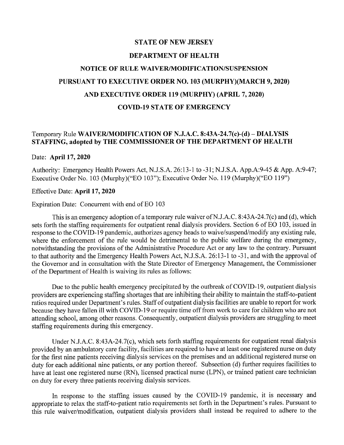## STATE OF NEW JERSEY

### DEPARTMENT OF HEALTH

# NOTICE OF RULE WAIVERIMODIFICATION/SUSPENSION PURSUANT TO EXECUTIVE ORDER NO. 103 (MURPHY)(MARCH 9, 2020) AND EXECUTIVE ORDER 119 (MURPHY) (APRIL 7,2020) COVID-19 STATE OF EMERGENCY

## Temporary Rule WAIVER/MODIFICATION OF N.J.A.C. 8:43A-24.7(c)-(d) - DIALYSIS STAFFING, adopted by THE COMMISSIONER OF THE DEPARTMENT OF HEALTH

#### Date: April 17, 2020

Authority: Emergency Health Powers Act, N.J.S.A. 26:13-1 to -31; N.J.S.A. App.A:9-45 & App. A:9-47; Executive Order No.1 03 (Murphy)("EO 103"); Executive Order No. 119 (Murphy)("EO 119")

#### Effective Date: April 17, 2020

#### Expiration Date: Concurrent with end of EO 103

This is an emergency adoption of a temporary rule waiver of N.J.A.C. 8:43A-24.7(c) and (d), which sets forth the staffing requirements for outpatient renal dialysis providers. Section 6 of EO 103, issued in response to the COVID-19 pandemic, authorizes agency heads to waive/suspend/modify any existing rule, where the enforcement of the rule would be detrimental to the public welfare during the emergency, notwithstanding the provisions of the Administrative Procedure Act or any law to the contrary. Pursuant to that authority and the Emergency Health Powers Act, N.J.S.A. 26:13-1 to -31, and with the approval of the Governor and in consultation with the State Director of Emergency Management, the Commissioner of the Department of Health is waiving its rules as follows:

Due to the public health emergency precipitated by the outbreak of COVID-19, outpatient dialysis providers are experiencing staffing shortages that are inhibiting their ability to maintain the staff-to-patient ratios required under Department's rules. Staff of outpatient dialysis facilities are unable to report for work because they have fallen ill with COVID-19 or require time off from work to care for children who are not attending school, among other reasons. Consequently, outpatient dialysis providers are struggling to meet staffing requirements during this emergency.

Under N.J.A.C. 8:43A-24.7(c), which sets forth staffing requirements for outpatient renal dialysis provided by an ambulatory care facility, facilities are required to have at least one registered nurse on duty for the first nine patients receiving dialysis services on the premises and an additional registered nurse on duty for each additional nine patients, or any portion thereof. Subsection (d) further requires facilities to have at least one registered nurse (RN), licensed practical nurse (LPN), or trained patient care technician on duty for every three patients receiving dialysis services.

In response to the staffing issues caused by the COVID-19 pandemic, it is necessary and appropriate to relax the staff-to-patient ratio requirements set forth in the Department's rules. Pursuant to this rule waiver/modification, outpatient dialysis providers shall instead be required to adhere to the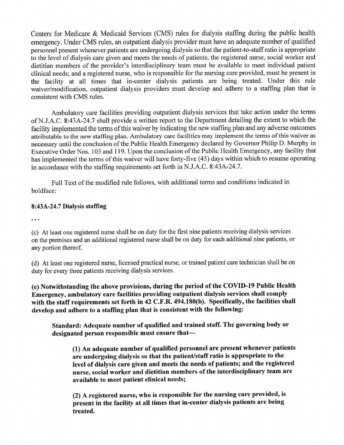Centers for Medicare & Medicaid Services (CMS) rules for dialysis staffing during the public health emergency. Under CMS rules, an outpatient dialysis provider must have an adequate number of qualified personnel present whenever patients are undergoing dialysis so that the patient-to-staff ratio is appropriate to the level of dialysis care given and meets the needs of patients; the registered nurse, social worker and dietitian members of the provider's interdisciplinary team must be available to meet individual patient clinical needs; and a registered nurse, who is responsible for the nursing care provided, must be present in the facility at all times that in-center dialysis patients are being treated. Under this rule waiver/modification, outpatient dialysis providers must develop and adhere to a staffing plan that is consistent with CMS rules.

Ambulatory care facilities providing outpatient dialysis services that take action under the terms *ofN.l.A.C.* 8:43A-24.7 shall provide a written report to the Department detailing the extent to which the facility implemented the terms of this waiver by indicating the new staffing plan and any adverse outcomes attributable to the new staffing plan. Ambulatory care facilities may implement the terms of this waiver as necessary until the conclusion of the Public Health Emergency declared by Governor Philip D. Murphy in Executive Order Nos. 103 and 119. Upon the conclusion of the Public Health Emergency, any facility that has implemented the terms of this waiver will have forty-five (45) days within which to resume operating in accordance with the staffing requirements set forth in N.J.A.C. 8:43A-24.7.

Full Text of the modified rule follows, with additional terms and conditions indicated in boldface:

## 8:43A-24.7 Dialysis staffing

 $\ddotsc$ 

(c) At least one registered nurse shall be on duty for the first nine patients receiving dialysis services on the premises and an additional registered nurse shall be on duty for each additional nine patients, or any portion thereof.

(d) At least one registered nurse, licensed practical nurse, or trained patient care technician shall be on duty for every three patients receiving dialysis services.

(e) Notwithstanding the above provisions, during the period of the COVID-19 Public Health Emergency, ambulatory care facilities providing outpatient dialysis services shall comply with the staff requirements set forth in 42 C.F.R. 494.180(b). Specifically, the facilities shall develop and adhere to a staffing plan that is consistent with the following:

Standard: Adequate number of qualified and trained staff. The governing body or designated person responsible must ensure that-

(1) An adequate number of qualified personnel are present whenever patients are undergoing dialysis so that the patient/staff ratio is appropriate to the level of dialysis care given and meets the needs of patients; and the registered nurse, social worker and dietitian members of the interdisciplinary team are available to meet patient clinical needs;

(2) A registered nurse, who is responsible for the nursing care provided, is present in the facility at all times that in-center dialysis patients are being treated.